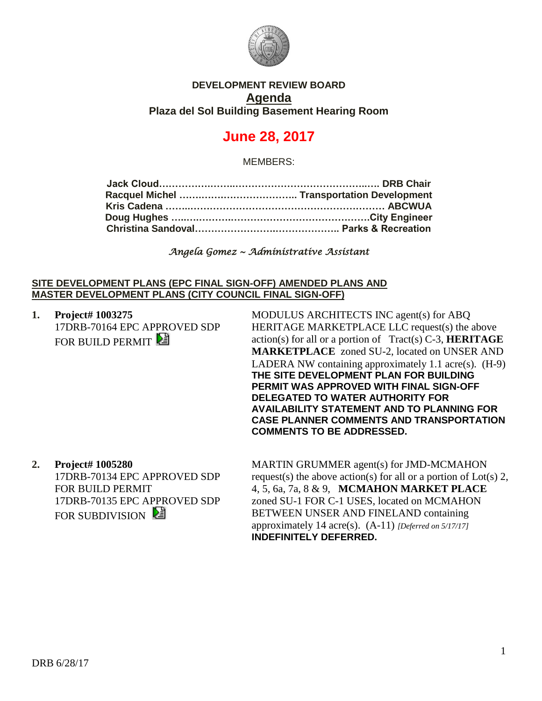

### **DEVELOPMENT REVIEW BOARD Agenda Plaza del Sol Building Basement Hearing Room**

# **June 28, 2017**

MEMBERS:

*Angela Gomez ~ Administrative Assistant* 

### **SITE DEVELOPMENT PLANS (EPC FINAL SIGN-OFF) AMENDED PLANS AND MASTER DEVELOPMENT PLANS (CITY COUNCIL FINAL SIGN-OFF)**

**1. Project# 1003275** 17DRB-70164 EPC APPROVED SDP FOR BUILD PERMIT

MODULUS ARCHITECTS INC agent(s) for ABQ HERITAGE MARKETPLACE LLC request(s) the above action(s) for all or a portion of Tract(s) C-3, **HERITAGE MARKETPLACE** zoned SU-2, located on UNSER AND LADERA NW containing approximately 1.1 acre(s). (H-9) **THE SITE DEVELOPMENT PLAN FOR BUILDING PERMIT WAS APPROVED WITH FINAL SIGN-OFF DELEGATED TO WATER AUTHORITY FOR AVAILABILITY STATEMENT AND TO PLANNING FOR CASE PLANNER COMMENTS AND TRANSPORTATION COMMENTS TO BE ADDRESSED.**

**2. Project# 1005280** 17DRB-70134 EPC APPROVED SDP FOR BUILD PERMIT 17DRB-70135 EPC APPROVED SDP FOR SUBDIVISION

MARTIN GRUMMER agent(s) for JMD-MCMAHON request(s) the above action(s) for all or a portion of Lot(s) 2, 4, 5, 6a, 7a, 8 & 9, **MCMAHON MARKET PLACE** zoned SU-1 FOR C-1 USES, located on MCMAHON BETWEEN UNSER AND FINELAND containing approximately 14 acre(s). (A-11) *[Deferred on 5/17/17]* **INDEFINITELY DEFERRED.**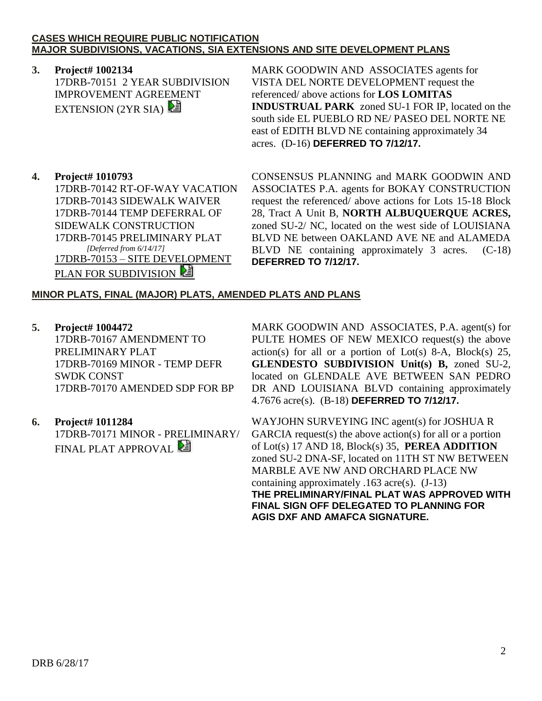#### **CASES WHICH REQUIRE PUBLIC NOTIFICATION MAJOR SUBDIVISIONS, VACATIONS, SIA EXTENSIONS AND SITE DEVELOPMENT PLANS**

# **3. Project# 1002134**

17DRB-70151 2 YEAR SUBDIVISION IMPROVEMENT AGREEMENT EXTENSION  $(2YR SIA)$ 

MARK GOODWIN AND ASSOCIATES agents for VISTA DEL NORTE DEVELOPMENT request the referenced/ above actions for **LOS LOMITAS INDUSTRUAL PARK** zoned SU-1 FOR IP, located on the south side EL PUEBLO RD NE/ PASEO DEL NORTE NE east of EDITH BLVD NE containing approximately 34 acres. (D-16) **DEFERRED TO 7/12/17.**

## **4. Project# 1010793**

17DRB-70142 RT-OF-WAY VACATION 17DRB-70143 SIDEWALK WAIVER 17DRB-70144 TEMP DEFERRAL OF SIDEWALK CONSTRUCTION 17DRB-70145 PRELIMINARY PLAT  *[Deferred from 6/14/17]* 17DRB-70153 – SITE DEVELOPMENT PLAN FOR SUBDIVISION

CONSENSUS PLANNING and MARK GOODWIN AND ASSOCIATES P.A. agents for BOKAY CONSTRUCTION request the referenced/ above actions for Lots 15-18 Block 28, Tract A Unit B, **NORTH ALBUQUERQUE ACRES,** zoned SU-2/ NC, located on the west side of LOUISIANA BLVD NE between OAKLAND AVE NE and ALAMEDA BLVD NE containing approximately 3 acres. (C-18) **DEFERRED TO 7/12/17.**

## **MINOR PLATS, FINAL (MAJOR) PLATS, AMENDED PLATS AND PLANS**

**5. Project# 1004472** 17DRB-70167 AMENDMENT TO PRELIMINARY PLAT 17DRB-70169 MINOR - TEMP DEFR SWDK CONST 17DRB-70170 AMENDED SDP FOR BP

## **6. Project# 1011284**

17DRB-70171 MINOR - PRELIMINARY/ **FINAL PLAT APPROVAL** 

MARK GOODWIN AND ASSOCIATES, P.A. agent(s) for PULTE HOMES OF NEW MEXICO request(s) the above  $action(s)$  for all or a portion of Lot(s) 8-A, Block(s) 25, **GLENDESTO SUBDIVISION Unit(s) B,** zoned SU-2, located on GLENDALE AVE BETWEEN SAN PEDRO DR AND LOUISIANA BLVD containing approximately 4.7676 acre(s). (B-18) **DEFERRED TO 7/12/17.**

WAYJOHN SURVEYING INC agent(s) for JOSHUA R GARCIA request(s) the above action(s) for all or a portion of Lot(s) 17 AND 18, Block(s) 35, **PEREA ADDITION** zoned SU-2 DNA-SF, located on 11TH ST NW BETWEEN MARBLE AVE NW AND ORCHARD PLACE NW containing approximately .163 acre(s). (J-13) **THE PRELIMINARY/FINAL PLAT WAS APPROVED WITH FINAL SIGN OFF DELEGATED TO PLANNING FOR AGIS DXF AND AMAFCA SIGNATURE.**